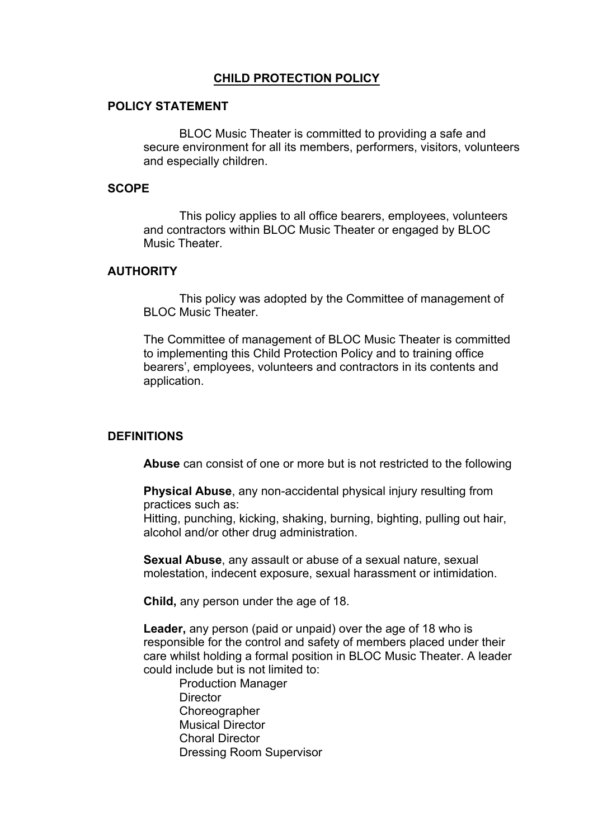## **CHILD PROTECTION POLICY**

### **POLICY STATEMENT**

BLOC Music Theater is committed to providing a safe and secure environment for all its members, performers, visitors, volunteers and especially children.

#### **SCOPE**

This policy applies to all office bearers, employees, volunteers and contractors within BLOC Music Theater or engaged by BLOC Music Theater.

## **AUTHORITY**

This policy was adopted by the Committee of management of **BLOC Music Theater** 

The Committee of management of BLOC Music Theater is committed to implementing this Child Protection Policy and to training office bearers', employees, volunteers and contractors in its contents and application.

#### **DEFINITIONS**

**Abuse** can consist of one or more but is not restricted to the following

**Physical Abuse**, any non-accidental physical injury resulting from practices such as:

Hitting, punching, kicking, shaking, burning, bighting, pulling out hair, alcohol and/or other drug administration.

**Sexual Abuse**, any assault or abuse of a sexual nature, sexual molestation, indecent exposure, sexual harassment or intimidation.

**Child,** any person under the age of 18.

**Leader,** any person (paid or unpaid) over the age of 18 who is responsible for the control and safety of members placed under their care whilst holding a formal position in BLOC Music Theater. A leader could include but is not limited to:

Production Manager **Director Choreographer** Musical Director Choral Director Dressing Room Supervisor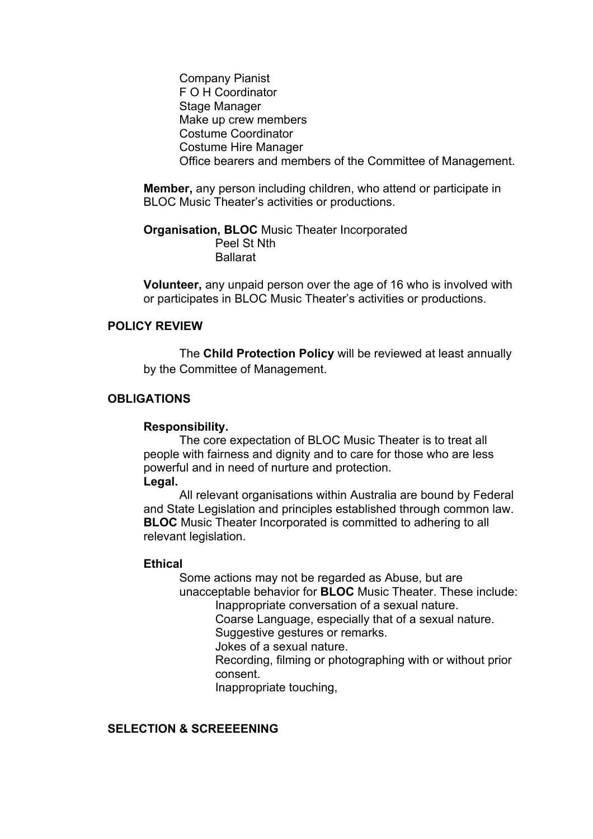Company Pianist F O H Coordinator Stage Manager Make up crew members Costume Coordinator Costume Hire Manager Office bearers and members of the Committee of Management.

**Member,** any person including children, who attend or participate in BLOC Music Theater's activities or productions.

**Organisation, BLOC** Music Theater Incorporated Peel St Nth Ballarat

**Volunteer,** any unpaid person over the age of 16 who is involved with or participates in BLOC Music Theater's activities or productions.

### **POLICY REVIEW**

The **Child Protection Policy** will be reviewed at least annually by the Committee of Management.

### **OBLIGATIONS**

#### **Responsibility.**

The core expectation of BLOC Music Theater is to treat all people with fairness and dignity and to care for those who are less powerful and in need of nurture and protection. **Legal.** 

All relevant organisations within Australia are bound by Federal and State Legislation and principles established through common law. **BLOC** Music Theater Incorporated is committed to adhering to all relevant legislation.

#### **Ethical**

Some actions may not be regarded as Abuse, but are unacceptable behavior for **BLOC** Music Theater. These include:

Inappropriate conversation of a sexual nature.

Coarse Language, especially that of a sexual nature.

Suggestive gestures or remarks.

Jokes of a sexual nature.

Recording, filming or photographing with or without prior consent.

Inappropriate touching,

## **SELECTION & SCREEEENING**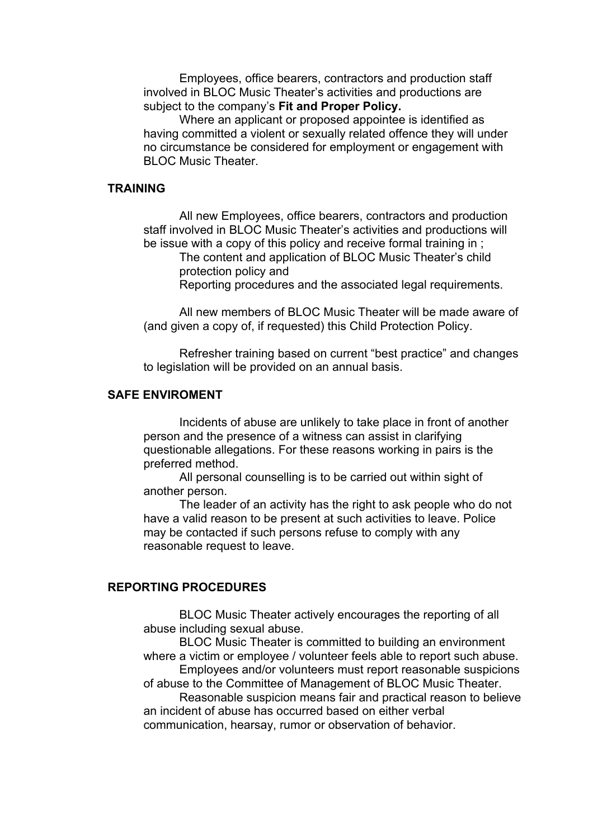Employees, office bearers, contractors and production staff involved in BLOC Music Theater's activities and productions are subject to the company's **Fit and Proper Policy.**

Where an applicant or proposed appointee is identified as having committed a violent or sexually related offence they will under no circumstance be considered for employment or engagement with BLOC Music Theater.

#### **TRAINING**

All new Employees, office bearers, contractors and production staff involved in BLOC Music Theater's activities and productions will be issue with a copy of this policy and receive formal training in ;

The content and application of BLOC Music Theater's child protection policy and

Reporting procedures and the associated legal requirements.

All new members of BLOC Music Theater will be made aware of (and given a copy of, if requested) this Child Protection Policy.

Refresher training based on current "best practice" and changes to legislation will be provided on an annual basis.

#### **SAFE ENVIROMENT**

Incidents of abuse are unlikely to take place in front of another person and the presence of a witness can assist in clarifying questionable allegations. For these reasons working in pairs is the preferred method.

All personal counselling is to be carried out within sight of another person.

The leader of an activity has the right to ask people who do not have a valid reason to be present at such activities to leave. Police may be contacted if such persons refuse to comply with any reasonable request to leave.

## **REPORTING PROCEDURES**

BLOC Music Theater actively encourages the reporting of all abuse including sexual abuse.

BLOC Music Theater is committed to building an environment where a victim or employee / volunteer feels able to report such abuse.

Employees and/or volunteers must report reasonable suspicions of abuse to the Committee of Management of BLOC Music Theater.

Reasonable suspicion means fair and practical reason to believe an incident of abuse has occurred based on either verbal communication, hearsay, rumor or observation of behavior.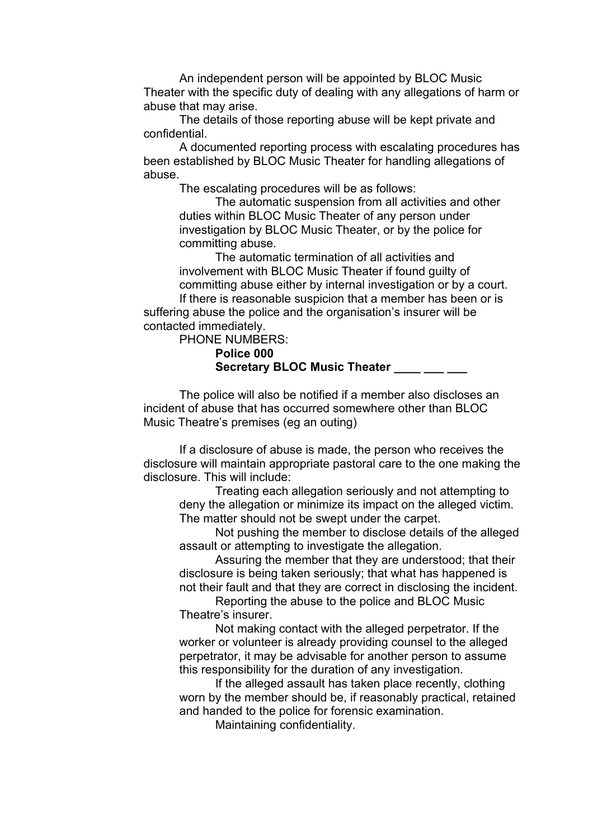An independent person will be appointed by BLOC Music Theater with the specific duty of dealing with any allegations of harm or abuse that may arise.

The details of those reporting abuse will be kept private and confidential.

A documented reporting process with escalating procedures has been established by BLOC Music Theater for handling allegations of abuse.

The escalating procedures will be as follows:

The automatic suspension from all activities and other duties within BLOC Music Theater of any person under investigation by BLOC Music Theater, or by the police for committing abuse.

The automatic termination of all activities and involvement with BLOC Music Theater if found guilty of committing abuse either by internal investigation or by a court. If there is reasonable suspicion that a member has been or is suffering abuse the police and the organisation's insurer will be

contacted immediately.

PHONE NUMBERS: **Police 000 Secretary BLOC Music Theater** 

The police will also be notified if a member also discloses an incident of abuse that has occurred somewhere other than BLOC Music Theatre's premises (eg an outing)

If a disclosure of abuse is made, the person who receives the disclosure will maintain appropriate pastoral care to the one making the disclosure. This will include:

Treating each allegation seriously and not attempting to deny the allegation or minimize its impact on the alleged victim. The matter should not be swept under the carpet.

Not pushing the member to disclose details of the alleged assault or attempting to investigate the allegation.

Assuring the member that they are understood; that their disclosure is being taken seriously; that what has happened is not their fault and that they are correct in disclosing the incident.

Reporting the abuse to the police and BLOC Music Theatre's insurer.

Not making contact with the alleged perpetrator. If the worker or volunteer is already providing counsel to the alleged perpetrator, it may be advisable for another person to assume this responsibility for the duration of any investigation.

If the alleged assault has taken place recently, clothing worn by the member should be, if reasonably practical, retained and handed to the police for forensic examination.

Maintaining confidentiality.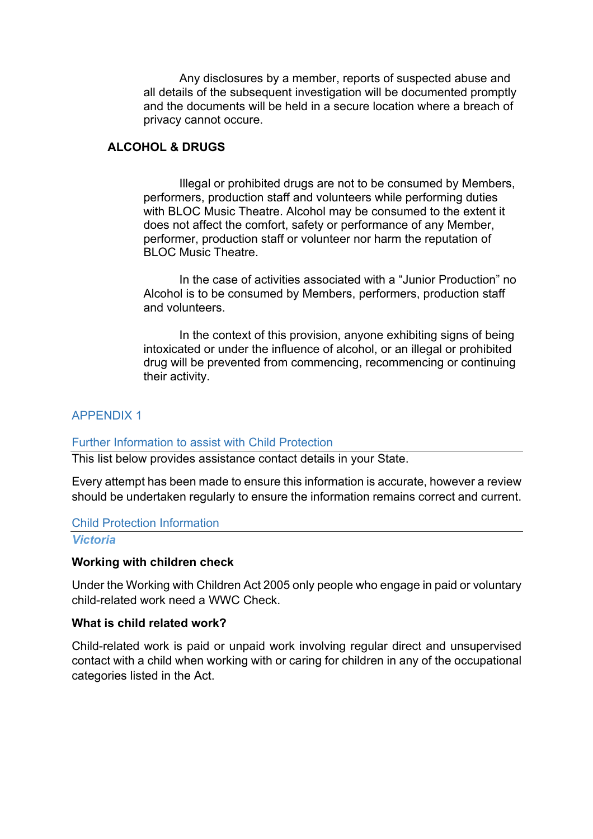Any disclosures by a member, reports of suspected abuse and all details of the subsequent investigation will be documented promptly and the documents will be held in a secure location where a breach of privacy cannot occure.

## **ALCOHOL & DRUGS**

Illegal or prohibited drugs are not to be consumed by Members, performers, production staff and volunteers while performing duties with BLOC Music Theatre. Alcohol may be consumed to the extent it does not affect the comfort, safety or performance of any Member, performer, production staff or volunteer nor harm the reputation of BLOC Music Theatre.

In the case of activities associated with a "Junior Production" no Alcohol is to be consumed by Members, performers, production staff and volunteers.

In the context of this provision, anyone exhibiting signs of being intoxicated or under the influence of alcohol, or an illegal or prohibited drug will be prevented from commencing, recommencing or continuing their activity.

## APPENDIX 1

#### Further Information to assist with Child Protection

This list below provides assistance contact details in your State.

Every attempt has been made to ensure this information is accurate, however a review should be undertaken regularly to ensure the information remains correct and current.

#### Child Protection Information

#### *Victoria*

#### **Working with children check**

Under the Working with Children Act 2005 only people who engage in paid or voluntary child-related work need a WWC Check.

#### **What is child related work?**

Child-related work is paid or unpaid work involving regular direct and unsupervised contact with a child when working with or caring for children in any of the occupational categories listed in the Act.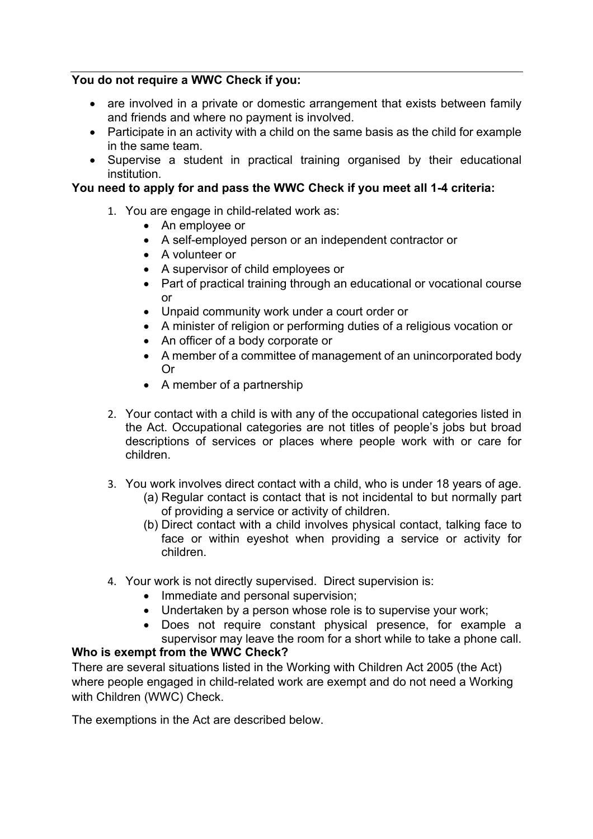## **You do not require a WWC Check if you:**

- are involved in a private or domestic arrangement that exists between family and friends and where no payment is involved.
- Participate in an activity with a child on the same basis as the child for example in the same team.
- Supervise a student in practical training organised by their educational institution.

## **You need to apply for and pass the WWC Check if you meet all 1-4 criteria:**

- 1. You are engage in child-related work as:
	- An employee or
	- A self-employed person or an independent contractor or
	- A volunteer or
	- A supervisor of child employees or
	- Part of practical training through an educational or vocational course or
	- Unpaid community work under a court order or
	- A minister of religion or performing duties of a religious vocation or
	- An officer of a body corporate or
	- A member of a committee of management of an unincorporated body Or
	- A member of a partnership
- 2. Your contact with a child is with any of the occupational categories listed in the Act. Occupational categories are not titles of people's jobs but broad descriptions of services or places where people work with or care for children.
- 3. You work involves direct contact with a child, who is under 18 years of age.
	- (a) Regular contact is contact that is not incidental to but normally part of providing a service or activity of children.
	- (b) Direct contact with a child involves physical contact, talking face to face or within eyeshot when providing a service or activity for children.
- 4. Your work is not directly supervised. Direct supervision is:
	- Immediate and personal supervision;
	- Undertaken by a person whose role is to supervise your work;
	- Does not require constant physical presence, for example a supervisor may leave the room for a short while to take a phone call.

## **Who is exempt from the WWC Check?**

There are several situations listed in the Working with Children Act 2005 (the Act) where people engaged in child-related work are exempt and do not need a Working with Children (WWC) Check.

The exemptions in the Act are described below.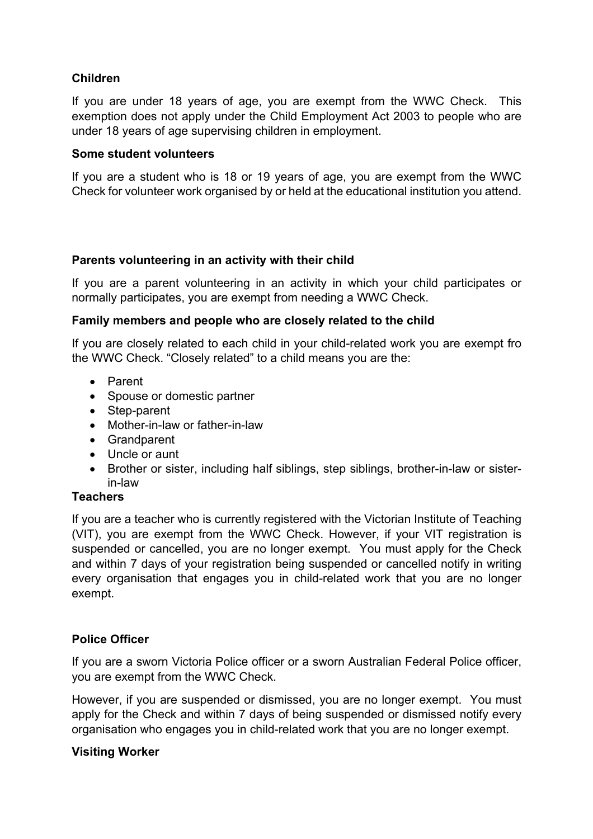# **Children**

If you are under 18 years of age, you are exempt from the WWC Check. This exemption does not apply under the Child Employment Act 2003 to people who are under 18 years of age supervising children in employment.

## **Some student volunteers**

If you are a student who is 18 or 19 years of age, you are exempt from the WWC Check for volunteer work organised by or held at the educational institution you attend.

## **Parents volunteering in an activity with their child**

If you are a parent volunteering in an activity in which your child participates or normally participates, you are exempt from needing a WWC Check.

## **Family members and people who are closely related to the child**

If you are closely related to each child in your child-related work you are exempt fro the WWC Check. "Closely related" to a child means you are the:

- Parent
- Spouse or domestic partner
- Step-parent
- Mother-in-law or father-in-law
- Grandparent
- Uncle or aunt
- Brother or sister, including half siblings, step siblings, brother-in-law or sisterin-law

## **Teachers**

If you are a teacher who is currently registered with the Victorian Institute of Teaching (VIT), you are exempt from the WWC Check. However, if your VIT registration is suspended or cancelled, you are no longer exempt. You must apply for the Check and within 7 days of your registration being suspended or cancelled notify in writing every organisation that engages you in child-related work that you are no longer exempt.

# **Police Officer**

If you are a sworn Victoria Police officer or a sworn Australian Federal Police officer, you are exempt from the WWC Check.

However, if you are suspended or dismissed, you are no longer exempt. You must apply for the Check and within 7 days of being suspended or dismissed notify every organisation who engages you in child-related work that you are no longer exempt.

## **Visiting Worker**